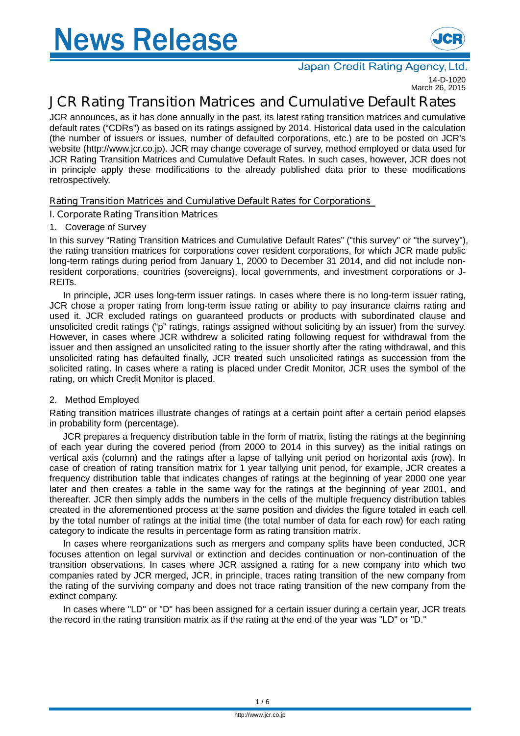

#### Japan Credit Rating Agency, Ltd

14-D-1020 March 26, 2015

# **JCR Rating Transition Matrices and Cumulative Default Rates**

JCR announces, as it has done annually in the past, its latest rating transition matrices and cumulative default rates ("CDRs") as based on its ratings assigned by 2014. Historical data used in the calculation (the number of issuers or issues, number of defaulted corporations, etc.) are to be posted on JCR's website (http://www.jcr.co.jp). JCR may change coverage of survey, method employed or data used for JCR Rating Transition Matrices and Cumulative Default Rates. In such cases, however, JCR does not in principle apply these modifications to the already published data prior to these modifications retrospectively.

## **Rating Transition Matrices and Cumulative Default Rates for Corporations**

## **I. Corporate Rating Transition Matrices**

## 1. Coverage of Survey

In this survey "Rating Transition Matrices and Cumulative Default Rates" ("this survey" or "the survey"), the rating transition matrices for corporations cover resident corporations, for which JCR made public long-term ratings during period from January 1, 2000 to December 31 2014, and did not include nonresident corporations, countries (sovereigns), local governments, and investment corporations or J-REITs.

In principle, JCR uses long-term issuer ratings. In cases where there is no long-term issuer rating, JCR chose a proper rating from long-term issue rating or ability to pay insurance claims rating and used it. JCR excluded ratings on guaranteed products or products with subordinated clause and unsolicited credit ratings ("p" ratings, ratings assigned without soliciting by an issuer) from the survey. However, in cases where JCR withdrew a solicited rating following request for withdrawal from the issuer and then assigned an unsolicited rating to the issuer shortly after the rating withdrawal, and this unsolicited rating has defaulted finally, JCR treated such unsolicited ratings as succession from the solicited rating. In cases where a rating is placed under Credit Monitor, JCR uses the symbol of the rating, on which Credit Monitor is placed.

## 2. Method Employed

Rating transition matrices illustrate changes of ratings at a certain point after a certain period elapses in probability form (percentage).

JCR prepares a frequency distribution table in the form of matrix, listing the ratings at the beginning of each year during the covered period (from 2000 to 2014 in this survey) as the initial ratings on vertical axis (column) and the ratings after a lapse of tallying unit period on horizontal axis (row). In case of creation of rating transition matrix for 1 year tallying unit period, for example, JCR creates a frequency distribution table that indicates changes of ratings at the beginning of year 2000 one year later and then creates a table in the same way for the ratings at the beginning of year 2001, and thereafter. JCR then simply adds the numbers in the cells of the multiple frequency distribution tables created in the aforementioned process at the same position and divides the figure totaled in each cell by the total number of ratings at the initial time (the total number of data for each row) for each rating category to indicate the results in percentage form as rating transition matrix.

In cases where reorganizations such as mergers and company splits have been conducted, JCR focuses attention on legal survival or extinction and decides continuation or non-continuation of the transition observations. In cases where JCR assigned a rating for a new company into which two companies rated by JCR merged, JCR, in principle, traces rating transition of the new company from the rating of the surviving company and does not trace rating transition of the new company from the extinct company.

In cases where "LD" or "D" has been assigned for a certain issuer during a certain year, JCR treats the record in the rating transition matrix as if the rating at the end of the year was "LD" or "D."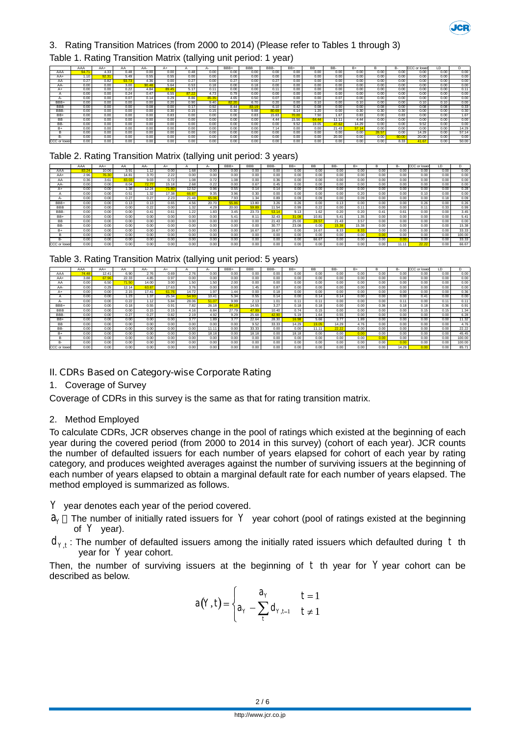

### 3. Rating Transition Matrices (from 2000 to 2014) (Please refer to Tables 1 through 3)

#### Table 1. Rating Transition Matrix (tallying unit period: 1 year)

|              | AAA  | $AA+$ | AA    | AA-   | $A+$  |       |       | BBB+ | <b>BBB</b> | BBB-  | $BB+$ | <b>BB</b> | BB-   | B+    |      | в-                | CCC or lower | ID.  |       |
|--------------|------|-------|-------|-------|-------|-------|-------|------|------------|-------|-------|-----------|-------|-------|------|-------------------|--------------|------|-------|
| AAA          | 94.  | 4.33  | 0.48  | 0.00  | 0.00  | 0.48  | 0.00  | 0.00 | 0.00       | 0.00  | 0.00  | 0.00      | 0.00  | 0.00  | 0.00 | 0.00              | 0.00         | 0.00 | 0.00  |
| $AA+$        | 1.10 | 92.31 | 5.49  | 0.55  | 0.55  | 0.00  | 0.00  | 0.00 | 0.00       | 0.00  | 0.00  | 0.00      | 0.00  | 0.00  | 0.00 | 0.00              | 0.00         | 0.00 | 0.00  |
| ΑA           | 0.27 | 0.82  | 93.73 | 4.36  | 0.00  | 0.27  | 0.00  | 0.27 | 0.00       | 0.27  | 0.00  | 0.00      | 0.00  | 0.00  | 0.00 | 0.00              | 0.00         | 0.00 | 0.00  |
| AA-          | 0.00 | 0.00  | 3.00  | 90.48 | 5.64  | 0.53  | 0.18  | 0.00 | 0.18       | 0.00  | 0.00  | 0.00      | 0.00  | 0.00  | 0.00 | 0.00              | 0.00         | 0.00 | 0.00  |
|              | 0.00 | 0.00  | 0.22  | 4.84  | 89.45 | 5.17  | 0.11  | 0.00 | 0.00       | 0.11  | 0.00  | 0.00      | 0.00  | 0.00  | 0.00 | 0.00              | 0.00         | 0.00 | 0.11  |
|              | 0.00 | 0.00  | 0.24  | 0.47  | 6.55  | 87.22 | 4.73  | 0.79 | 0.00       | 0.00  | 0.00  | 0.00      | 0.00  | 0.00  | 0.00 | 0.00              | 0.00         | 0.00 | 0.00  |
|              | 0.00 | 0.00  | 0.07  | 0.14  | 0.29  | 8.86  | 85.35 | 4.65 | 0.50       | 0.07  | 0.00  | 0.00      | 0.07  | 0.00  | 0.00 | 0.00              | 0.00         | 0.00 | 0.00  |
| BBB+         | 0.00 | 0.00  | 0.00  | 0.00  | 0.20  | 0.90  | 9.40  | 82.2 | 6.70       | 0.20  | 0.00  | 0.10      | 0.00  | 0.10  | 0.00 | 0.00              | 0.10         | 0.10 | 0.00  |
| <b>BBB</b>   | 0.00 | 0.00  | 0.00  | 0.08  | 0.00  | 0.17  | 0.92  | 8.44 | 83.19      | 6.10  | 0.42  | 0.08      | 0.00  | 0.00  | 0.08 | 0.00              | 0.08         | 0.08 | 0.33  |
| <b>BBB</b>   | 0.00 | 0.00  | 0.00  | 0.00  | 0.30  | 0.15  | 0.15  | 0.30 | 9.88       | 80.69 | 6.14  | 1.20      | 0.00  | 0.30  | 0.30 | 0.30              | 0.00         | 0.00 | 0.30  |
| BB+          | 0.00 | 0.00  | 0.00  | 0.00  | 0.83  | 0.00  | 0.00  | 0.00 | 0.83       | 15.83 | 70.00 | 7.50      | 1.67  | 0.83  | 0.00 | 0.83              | 0.00         | 0.00 | 1.67  |
| ВB           | 0.00 | 0.00  | 0.00  | 0.00  | 0.00  | 0.00  | 0.00  | 0.00 | 0.00       | 4.44  | 15.56 | 64.44     | 11.11 | 4.44  | 0.00 | 0.00              | 0.00         | 0.00 | 0.00  |
| BB-          | 0.00 | 0.00  | 0.00  | 0.00  | 0.00  | 0.00  | 0.00  | 0.00 | 0.00       | 0.00  | 9.52  | 19.05     | 47.62 | 14.29 | 0.00 | 0.00              | 9.52         | 0.00 | 0.00  |
| $B+$         | 0.00 | 0.00  | 0.00  | 0.00  | 0.00  | 0.00  | 0.00  | 0.00 | 0.00       | 7.14  | 0.00  | 0.00      | 21.43 | 57.14 | 0.00 | 0.00              | 0.00         | 0.00 | 14.29 |
|              | 0.00 | 0.00  | 0.00  | 0.00  | 0.00  | 0.00  | 0.00  | 0.00 | 0.00       | 0.00  | 0.00  | 0.00      | 0.00  | 0.00  | 28.5 | 0.00              | 14.29        | 0.00 | 57.14 |
| ь-           | 0.00 | 0.00  | 0.00  | 0.00  | 0.00  | 0.00  | 0.00  | 0.00 | 0.00       | 0.00  | 0.00  | 0.00      | 20.00 | 0.00  | 0.00 | 60.00             | 20.00        | 0.00 | 0.00  |
| CCC or lower | 0.00 | 0.00  | 0.00  | 0.00  | 0.00  | 0.00  | 0.00  | 0.00 | 0.00       | 0.00  | 0.00  | 0.00      | 0.00  | 0.00  | 0.00 | $8.\overline{33}$ | 41.67        | 0.00 | 50.00 |

#### Table 2. Rating Transition Matrix (tallying unit period: 3 years)

|              | AAA   | $AA+$ | AA    | AA-   | A÷    |       | д.    | BBB+  | <b>BBB</b> | BBB-  | BB+   | ВB    | BB-   | $B+$  | B    | B-   | ccc<br>or lower | ΙD   |        |
|--------------|-------|-------|-------|-------|-------|-------|-------|-------|------------|-------|-------|-------|-------|-------|------|------|-----------------|------|--------|
| AAA          | 83.24 | 10.06 | 3.91  | 1.12  | 0.00  | 1.68  | 0.00  | 0.00  | 0.00       | 0.00  | 0.00  | 0.00  | 0.00  | 0.00  | 0.00 | 0.00 | 0.00            | 0.00 | 0.00   |
| AA+          | 2.96  | 76.30 | 14.81 | 3.70  | 2.22  | 0.00  | 0.00  | 0.00  | 0.00       | 0.00  | 0.00  | 0.00  | 0.00  | 0.00  | 0.00 | 0.00 | 0.00            | 0.00 | 0.00   |
| AA           | 0.36  | 3.61  | 83.03 | 9.03  | 0.72  | 1.08  | 0.72  | 1.08  | 0.00       | 0.36  | 0.00  | 0.00  | 0.00  | 0.00  | 0.00 | 0.00 | 0.00            | 0.00 | 0.00   |
| AA-          | 0.00  | 0.00  | 8.04  | 72.77 | 15.18 | 2.68  | 0.22  | 0.00  | 0.67       | 0.45  | 0.00  | 0.00  | 0.00  | 0.00  | 0.00 | 0.00 | 0.00            | 0.00 | 0.00   |
|              | 0.00  | 0.00  | 1.38  | 12.24 | 71.80 | 12.52 | 0.96  | 0.55  | 0.14       | 0.14  | 0.00  | 0.00  | 0.00  | 0.00  | 0.00 | 0.00 | 0.00            | 0.00 | 0.28   |
|              | 0.00  | 0.00  | 0.51  | 1.32  | 17.38 | 66.87 | 9.35  | 3.96  | 0.30       | 0.00  | 0.00  | 0.00  | 0.00  | 0.20  | 0.00 | 0.00 | 0.10            | 0.00 | 0.00   |
|              | 0.00  | 0.00  | 0.27  | 0.27  | 2.23  | 21.48 | 65.06 | 7.93  | 1.34       | 0.89  | 0.09  | 0.09  | 0.00  | 0.09  | 0.00 | 0.00 | 0.00            | 0.18 | 0.09   |
| BBB+         | 0.00  | 0.00  | 0.13  | 0.13  | 0.65  | 4.56  | 20.70 | 55.86 | 13.80      | 3.26  | 0.26  | 0.00  | 0.13  | 0.00  | 0.00 | 0.00 | 0.26            | 0.00 | 0.26   |
| <b>BBB</b>   | 0.00  | 0.00  | 0.00  | 0.22  | 0.00  | 1.32  | 4.29  | 20.00 | 59.89      | 11.54 | 0.99  | 0.22  | 0.00  | 0.11  | 0.00 | 0.00 | 0.1             | 0.33 | 0.99   |
| BBB-         | 0.00  | 0.00  | 0.00  | 0.41  | 0.61  | 1.22  | 1.83  | 3.45  | 23.73      | 53.14 | 9.13  | .62   | 0.20  | 0.20  | 0.41 | 0.61 | 0.00            | 0.00 | 3.45   |
| BB+          | 0.00  | 0.00  | 0.00  | 0.00  | 0.00  | 0.00  | 0.00  | 5.41  | 8.11       | 32.43 | 31.08 | 10.81 | 5.41  | 1.35  | 0.00 | 0.00 | 0.00            | 0.00 | 5.41   |
| <b>BB</b>    | 0.00  | 0.00  | 0.00  | 0.00  | 0.00  | 0.00  | 0.00  | 0.00  | 0.00       | 21.43 | 25.00 | 28.57 | 21.43 | 3.57  | 0.00 | 0.00 | 0.00            | 0.00 | 0.00   |
| BB-          | 0.00  | 0.00  | 0.00  | 0.00  | 0.00  | 0.00  | 0.00  | 0.00  | 0.00       | 30.77 | 23.08 | 0.00  | 15.38 | 15.38 | 0.00 | 0.00 | 0.00            | 0.00 | 15.38  |
| $B+$         | 0.00  | 0.00  | 0.00  | 0.00  | 0.00  | 0.00  | 0.00  | 0.00  | 16.67      | 16.67 | 0.00  | 16.67 | 8.33  | 8.33  | 0.00 | 0.00 | 0.00            | 0.00 | 33.33  |
| B            | 0.00  | 0.00  | 0.00  | 0.00  | 0.00  | 0.00  | 0.00  | 0.00  | 0.00       | 0.00  | 0.00  | 0.00  | 0.00  | 0.00  | 0.00 | 0.00 | 0.00            | 0.00 | 100.00 |
| B-           | 0.00  | 0.00  | 0.00  | 0.00  | 0.00  | 0.00  | 0.00  | 0.00  | 0.00       | 0.00  | 0.00  | 66.67 | 0.00  | 0.00  | 0.00 | 0.00 | 0.00            | 0.00 | 33.33  |
| CCC or lower | 0.00  | 0.00  | 0.00  | 0.00  | 0.00  | 0.00  | 0.00  | 0.00  | 0.00       | 0.00  | 0.00  | 0.00  | 0.00  | 0.00  | 0.00 |      | 22.22           | 0.00 | 66.67  |

| Table 3. Rating Transition Matrix (tallying unit period: 5 years) |
|-------------------------------------------------------------------|
|-------------------------------------------------------------------|

|              | AAA   | $AA+$ | AA    | AA-   | $A+$  |       |       | BBB+  | <b>BBB</b> | BBB-  | BB+   | <b>BB</b> | BB-   | $B+$ |      | B-    | CCC or lower | ID.  |        |
|--------------|-------|-------|-------|-------|-------|-------|-------|-------|------------|-------|-------|-----------|-------|------|------|-------|--------------|------|--------|
| AAA          | 74.48 | 12.41 | 6.90  | 2.76  | 0.69  | 2.76  | 0.00  | 0.00  | 0.00       | 0.00  | 0.00  | 0.00      | 0.00  | 0.00 | 0.00 | 0.00  | 0.00         | 0.00 | 0.00   |
| AA+          | 3.88  | 67.96 | 22.33 | 4.85  | 0.97  | 0.00  | 0.00  | 0.00  | 0.00       | 0.00  | 0.00  | 0.00      | 0.00  | 0.00 | 0.00 | 0.00  | 0.00         | 0.00 | 0.00   |
| AA           | 0.00  | 6.50  | 71.50 | 14.00 | 3.00  | 1.50  | 1.50  | 2.00  | 0.00       | 0.00  | 0.00  | 0.00      | 0.00  | 0.00 | 0.00 | 0.00  | 0.00         | 0.00 | 0.00   |
| AA-          | 0.00  | 0.29  | 12.14 | 63.87 | 17.63 | 3.76  | 0.00  | 0.00  | 1.45       | 0.87  | 0.00  | 0.00      | 0.00  | 0.00 | 0.00 | 0.00  | 0.00         | 0.00 | 0.00   |
| A+           | 0.00  | 0.00  | 2.15  | 17.41 | 61.76 | 14.72 | 1.97  | 1.44  | 0.00       | 0.18  | 0.00  | 0.00      | 0.00  | 0.00 | 0.00 | 0.00  | 0.00         | 0.00 | 0.36   |
|              | 0.00  | 0.00  | 1.23  | 1.37  | 25.34 | 54.93 | 10.41 | 5.34  | 0.55       | 0.14  | 0.00  | 0.14      | 0.14  | 0.00 | 0.00 | 0.00  | 0.41         | 0.00 | 0.00   |
| $A-$         | 0.00  | 0.00  | 0.22  | 1.12  | 5.84  | 28.06 | 51.07 | 9.99  | 2.13       | 1.01  | 0.11  | 0.11      | 0.00  | 0.00 | 0.00 | 0.11  | 0.00         | 0.11 | 0.11   |
| BBB+         | 0.00  | 0.00  | 0.18  | 0.55  | 0.91  | 7.82  | 26.18 | 44.1  | 14.55      | 3.27  | 0.18  | 0.18      | 0.00  | 0.00 | 0.36 | 0.18  | 0.18         | 0.36 | 0.91   |
| <b>BBB</b>   | 0.00  | 0.00  | 0.00  | 0.15  | 0.15  | 4.16  | 6.84  | 27.79 | 47.99      | 10.40 | 0.74  | 0.15      | 0.00  | 0.00 | 0.00 | 0.00  | 0.15         | 0.15 | 1.34   |
| BBB-         | 0.00  | 0.00  | 0.27  | 0.27  | 0.82  | 2.19  | 4.92  | 9.29  | 25.68      | 42.90 | 5.19  | 1.64      | 0.55  | 0.00 | 0.00 | 0.00  | 0.00         | 0.00 | 6.28   |
| BB+          | 0.00  | 0.00  | 0.00  | 0.00  | 0.00  | 3.77  | 1.89  | 3.77  | 22.64      | 28.30 | 16.98 | 5.66      | 3.77  | 1.89 | 0.00 | 0.00  | 0.00         | 0.00 | 11.32  |
| BВ           | 0.00  | 0.00  | 0.00  | 0.00  | 0.00  | 0.00  | 0.00  | 0.00  | 9.52       | 33.33 | 14.29 | 19.05     | 14.29 | 4.76 | 0.00 | 0.00  | 0.00         | 0.00 | 4.76   |
| BB-          | 0.00  | 0.00  | 0.00  | 0.00  | 0.00  | 0.00  | 11.11 | 0.00  | 33.33      | 0.00  | 0.00  | 11.11     | 22.22 | 0.00 | 0.00 | 0.00  | 0.00         | 0.00 | 22.22  |
| B+           | 0.00  | 0.00  | 0.00  | 0.00  | 0.00  | 0.00  | 18.18 | 0.00  | 18.18      | 0.00  | 18.18 | 0.00      | 0.00  | 0.00 | 0.00 | 0.00  | 0.00         | 0.00 | 45.45  |
| B            | 0.00  | 0.00  | 0.00  | 0.00  | 0.00  | 0.00  | 0.00  | 0.00  | 0.00       | 0.00  | 0.00  | 0.00      | 0.00  | 0.00 | 0.00 | 0.00  | 0.00         | 0.00 | 100.00 |
| B٠           | 0.00  | 0.00  | 0.00  | 0.00  | 0.00  | 0.00  | 0.00  | 0.00  | 0.00       | 0.00  | 0.00  | 0.00      | 0.00  | 0.00 | 0.00 | 0.0   | 0.00         | 0.00 | 100.00 |
| CCC or lower | 0.00  | 0.00  | 0.00  | 0.00  | 0.00  | 0.00  | 0.00  | 0.00  | 0.00       | 0.00  | 0.00  | 0.00      | 0.00  | 0.00 | 0.00 | 14.29 | 0.00         | 0.00 | 85.71  |

#### **II. CDRs Based on Category-wise Corporate Rating**

#### 1. Coverage of Survey

Coverage of CDRs in this survey is the same as that for rating transition matrix.

#### 2. Method Employed

To calculate CDRs, JCR observes change in the pool of ratings which existed at the beginning of each year during the covered period (from 2000 to 2014 in this survey) (cohort of each year). JCR counts the number of defaulted issuers for each number of years elapsed for cohort of each year by rating category, and produces weighted averages against the number of surviving issuers at the beginning of each number of years elapsed to obtain a marginal default rate for each number of years elapsed. The method employed is summarized as follows.

*Y* year denotes each year of the period covered.

- $a<sub>y</sub>$  The number of initially rated issuers for  $|Y|$  year cohort (pool of ratings existed at the beginning of  $Y$  year).
- $d_{Y,t}$  : The number of defaulted issuers among the initially rated issuers which defaulted during  $|t|$  th year for Y year cohort.

Then, the number of surviving issuers at the beginning of  $t$  th year for  $Y$  year cohort can be described as below.

$$
a(Y,t) = \begin{cases} a_Y & t = 1 \\ a_Y - \sum_t d_{Y,t-1} & t \neq 1 \end{cases}
$$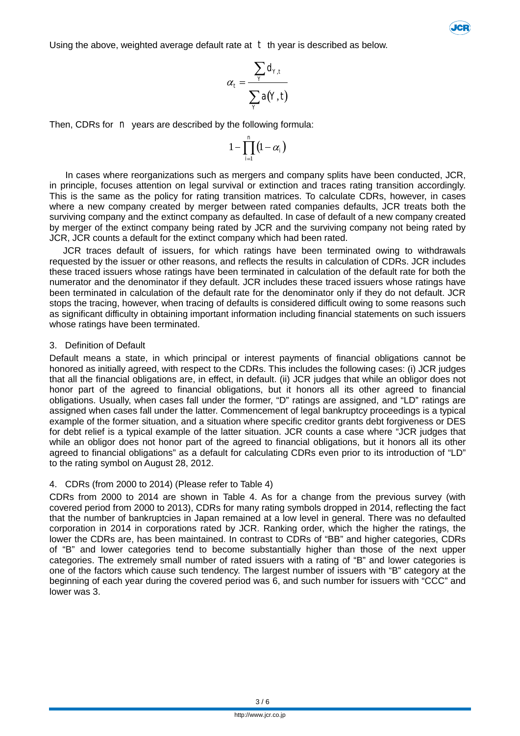Using the above, weighted average default rate at  $t$  th year is described as below.



$$
\alpha_t = \frac{\sum_{Y} d_{Y,t}}{\sum_{Y} a(Y,t)}
$$

Then, CDRs for *n* years are described by the following formula:

$$
1-\prod_{i=1}^n\left(1-\alpha_i\right)
$$

In cases where reorganizations such as mergers and company splits have been conducted, JCR, in principle, focuses attention on legal survival or extinction and traces rating transition accordingly. This is the same as the policy for rating transition matrices. To calculate CDRs, however, in cases where a new company created by merger between rated companies defaults, JCR treats both the surviving company and the extinct company as defaulted. In case of default of a new company created by merger of the extinct company being rated by JCR and the surviving company not being rated by JCR, JCR counts a default for the extinct company which had been rated.

JCR traces default of issuers, for which ratings have been terminated owing to withdrawals requested by the issuer or other reasons, and reflects the results in calculation of CDRs. JCR includes these traced issuers whose ratings have been terminated in calculation of the default rate for both the numerator and the denominator if they default. JCR includes these traced issuers whose ratings have been terminated in calculation of the default rate for the denominator only if they do not default. JCR stops the tracing, however, when tracing of defaults is considered difficult owing to some reasons such as significant difficulty in obtaining important information including financial statements on such issuers whose ratings have been terminated.

#### 3. Definition of Default

Default means a state, in which principal or interest payments of financial obligations cannot be honored as initially agreed, with respect to the CDRs. This includes the following cases: (i) JCR judges that all the financial obligations are, in effect, in default. (ii) JCR judges that while an obligor does not honor part of the agreed to financial obligations, but it honors all its other agreed to financial obligations. Usually, when cases fall under the former, "D" ratings are assigned, and "LD" ratings are assigned when cases fall under the latter. Commencement of legal bankruptcy proceedings is a typical example of the former situation, and a situation where specific creditor grants debt forgiveness or DES for debt relief is a typical example of the latter situation. JCR counts a case where "JCR judges that while an obligor does not honor part of the agreed to financial obligations, but it honors all its other agreed to financial obligations" as a default for calculating CDRs even prior to its introduction of "LD" to the rating symbol on August 28, 2012.

#### 4. CDRs (from 2000 to 2014) (Please refer to Table 4)

CDRs from 2000 to 2014 are shown in Table 4. As for a change from the previous survey (with covered period from 2000 to 2013), CDRs for many rating symbols dropped in 2014, reflecting the fact that the number of bankruptcies in Japan remained at a low level in general. There was no defaulted corporation in 2014 in corporations rated by JCR. Ranking order, which the higher the ratings, the lower the CDRs are, has been maintained. In contrast to CDRs of "BB" and higher categories, CDRs of "B" and lower categories tend to become substantially higher than those of the next upper categories. The extremely small number of rated issuers with a rating of "B" and lower categories is one of the factors which cause such tendency. The largest number of issuers with "B" category at the beginning of each year during the covered period was 6, and such number for issuers with "CCC" and lower was 3.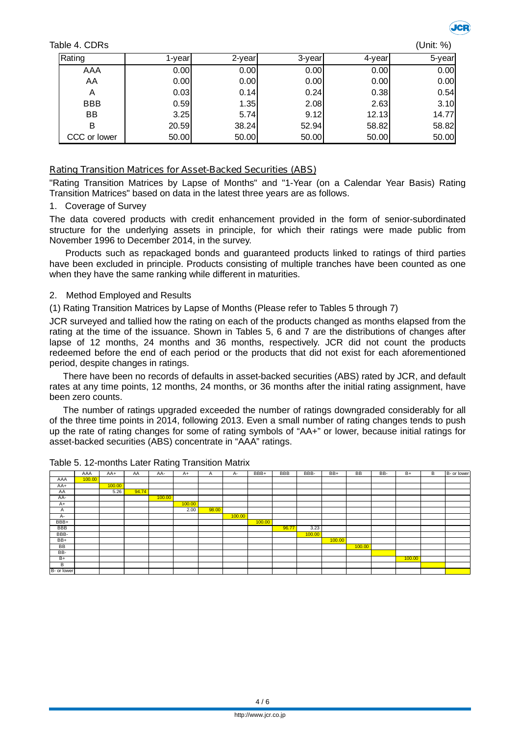Table 4. CDRs



| (Unit: %) |  |
|-----------|--|
|           |  |

| Rating       | -vearl | 2-year | 3-year | 4-year | 5-year |
|--------------|--------|--------|--------|--------|--------|
| AAA          | 0.00   | 0.00   | 0.00   | 0.00   | 0.00   |
| AA           | 0.00   | 0.00   | 0.00   | 0.00   | 0.00   |
| A            | 0.03   | 0.14   | 0.24   | 0.38   | 0.54   |
| <b>BBB</b>   | 0.59   | 1.35   | 2.08   | 2.63   | 3.10   |
| ΒB           | 3.25   | 5.74   | 9.12   | 12.13  | 14.77  |
| в            | 20.59  | 38.24  | 52.94  | 58.82  | 58.82  |
| CCC or lower | 50.00  | 50.00  | 50.00  | 50.00  | 50.00  |

#### **Rating Transition Matrices for Asset-Backed Securities (ABS)**

"Rating Transition Matrices by Lapse of Months" and "1-Year (on a Calendar Year Basis) Rating Transition Matrices" based on data in the latest three years are as follows.

#### 1. Coverage of Survey

The data covered products with credit enhancement provided in the form of senior-subordinated structure for the underlying assets in principle, for which their ratings were made public from November 1996 to December 2014, in the survey.

Products such as repackaged bonds and guaranteed products linked to ratings of third parties have been excluded in principle. Products consisting of multiple tranches have been counted as one when they have the same ranking while different in maturities.

#### 2. Method Employed and Results

(1) Rating Transition Matrices by Lapse of Months (Please refer to Tables 5 through 7)

JCR surveyed and tallied how the rating on each of the products changed as months elapsed from the rating at the time of the issuance. Shown in Tables 5, 6 and 7 are the distributions of changes after lapse of 12 months, 24 months and 36 months, respectively. JCR did not count the products redeemed before the end of each period or the products that did not exist for each aforementioned period, despite changes in ratings.

There have been no records of defaults in asset-backed securities (ABS) rated by JCR, and default rates at any time points, 12 months, 24 months, or 36 months after the initial rating assignment, have been zero counts.

The number of ratings upgraded exceeded the number of ratings downgraded considerably for all of the three time points in 2014, following 2013. Even a small number of rating changes tends to push up the rate of rating changes for some of rating symbols of "AA+" or lower, because initial ratings for asset-backed securities (ABS) concentrate in "AAA" ratings.

|             | AAA    | $AA+$  | AA    | AA-    | $A+$   | $\mathsf{A}$ | $A -$  | BBB+   | BBB   | BBB-   | BB+    | BB     | BB- | $B+$   | B | B- or lower |
|-------------|--------|--------|-------|--------|--------|--------------|--------|--------|-------|--------|--------|--------|-----|--------|---|-------------|
| AAA         | 100.00 |        |       |        |        |              |        |        |       |        |        |        |     |        |   |             |
| AA+         |        | 100.00 |       |        |        |              |        |        |       |        |        |        |     |        |   |             |
| AA          |        | 5.26   | 94.74 |        |        |              |        |        |       |        |        |        |     |        |   |             |
| AA-         |        |        |       | 100.00 |        |              |        |        |       |        |        |        |     |        |   |             |
| $A+$        |        |        |       |        | 100.00 |              |        |        |       |        |        |        |     |        |   |             |
| A           |        |        |       |        | 2.00   | 98.00        |        |        |       |        |        |        |     |        |   |             |
| $A -$       |        |        |       |        |        |              | 100.00 |        |       |        |        |        |     |        |   |             |
| BBB+        |        |        |       |        |        |              |        | 100.00 |       |        |        |        |     |        |   |             |
| <b>BBB</b>  |        |        |       |        |        |              |        |        | 96.77 | 3.23   |        |        |     |        |   |             |
| BBB-        |        |        |       |        |        |              |        |        |       | 100.00 |        |        |     |        |   |             |
| BB+         |        |        |       |        |        |              |        |        |       |        | 100.00 |        |     |        |   |             |
| BB          |        |        |       |        |        |              |        |        |       |        |        | 100.00 |     |        |   |             |
| BB-         |        |        |       |        |        |              |        |        |       |        |        |        |     |        |   |             |
| $B+$        |        |        |       |        |        |              |        |        |       |        |        |        |     | 100.00 |   |             |
| B           |        |        |       |        |        |              |        |        |       |        |        |        |     |        |   |             |
| B- or lower |        |        |       |        |        |              |        |        |       |        |        |        |     |        |   |             |

Table 5. 12-months Later Rating Transition Matrix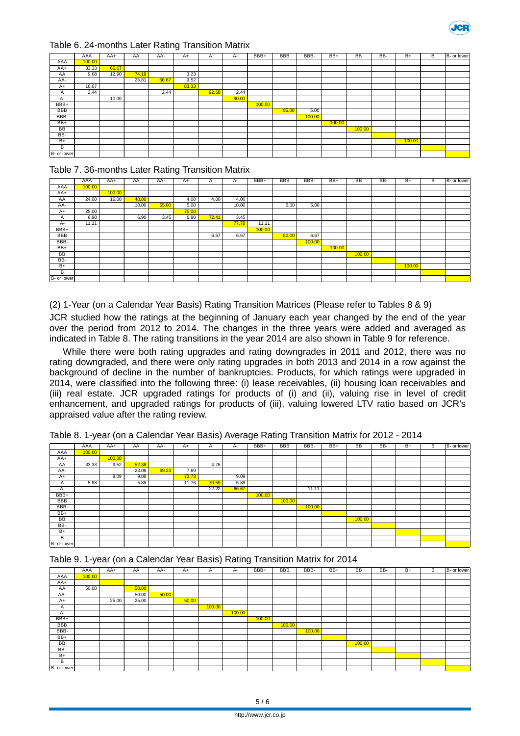

#### Table 6. 24-months Later Rating Transition Matrix

|             | AAA    | $AA+$ | AA    | AA-   | $A+$  | A     | А-    | BBB+   | <b>BBB</b> | BBB-   | $BB+$  | <b>BB</b> | BB- | $B +$  | B | B- or lower |
|-------------|--------|-------|-------|-------|-------|-------|-------|--------|------------|--------|--------|-----------|-----|--------|---|-------------|
| AAA         | 100.00 |       |       |       |       |       |       |        |            |        |        |           |     |        |   |             |
| AA+         | 33.33  | 66.67 |       |       |       |       |       |        |            |        |        |           |     |        |   |             |
| AA          | 9.68   | 12.90 | 74.19 |       | 3.23  |       |       |        |            |        |        |           |     |        |   |             |
| AA-         |        |       | 23.81 | 66.67 | 9.52  |       |       |        |            |        |        |           |     |        |   |             |
| $A+$        | 16.67  |       |       |       | 83.33 |       |       |        |            |        |        |           |     |        |   |             |
| A           | 2.44   |       |       | 2.44  |       | 92.68 | 2.44  |        |            |        |        |           |     |        |   |             |
| A-          |        | 10.00 |       |       |       |       | 90.00 |        |            |        |        |           |     |        |   |             |
| BBB+        |        |       |       |       |       |       |       | 100.00 |            |        |        |           |     |        |   |             |
| <b>BBB</b>  |        |       |       |       |       |       |       |        | 95.00      | 5.00   |        |           |     |        |   |             |
| BBB-        |        |       |       |       |       |       |       |        |            | 100.00 |        |           |     |        |   |             |
| BB+         |        |       |       |       |       |       |       |        |            |        | 100.00 |           |     |        |   |             |
| <b>BB</b>   |        |       |       |       |       |       |       |        |            |        |        | 100.00    |     |        |   |             |
| BB-         |        |       |       |       |       |       |       |        |            |        |        |           |     |        |   |             |
| $B+$        |        |       |       |       |       |       |       |        |            |        |        |           |     | 100.00 |   |             |
| B           |        |       |       |       |       |       |       |        |            |        |        |           |     |        |   |             |
| B- or lower |        |       |       |       |       |       |       |        |            |        |        |           |     |        |   |             |

#### Table 7. 36-months Later Rating Transition Matrix

|             | AAA    | AA+    | AA    | AA-   | $A+$  | A     | А-    | BBB+   | <b>BBB</b> | BBB-   | BB+    | BB     | BB- | B+     | В | B- or lower |
|-------------|--------|--------|-------|-------|-------|-------|-------|--------|------------|--------|--------|--------|-----|--------|---|-------------|
| AAA         | 100.00 |        |       |       |       |       |       |        |            |        |        |        |     |        |   |             |
| AA+         |        | 100.00 |       |       |       |       |       |        |            |        |        |        |     |        |   |             |
| AA          | 24.00  | 16.00  | 48.00 |       | 4.00  | 4.00  | 4.00  |        |            |        |        |        |     |        |   |             |
| AA-         |        |        | 10.00 | 65.00 | 5.00  |       | 10.00 |        | 5.00       | 5.00   |        |        |     |        |   |             |
| $A+$        | 25.00  |        |       |       | 75.00 |       |       |        |            |        |        |        |     |        |   |             |
| A           | 6.90   |        | 6.90  | 3.45  | 6.90  | 72.41 | 3.45  |        |            |        |        |        |     |        |   |             |
| $A -$       | 11.11  |        |       |       |       |       | 77.78 | 11.11  |            |        |        |        |     |        |   |             |
| BBB+        |        |        |       |       |       |       |       | 100.00 |            |        |        |        |     |        |   |             |
| <b>BBB</b>  |        |        |       |       |       | 6.67  | 6.67  |        | 80.00      | 6.67   |        |        |     |        |   |             |
| BBB-        |        |        |       |       |       |       |       |        |            | 100.00 |        |        |     |        |   |             |
| BB+         |        |        |       |       |       |       |       |        |            |        | 100.00 |        |     |        |   |             |
| BB          |        |        |       |       |       |       |       |        |            |        |        | 100.00 |     |        |   |             |
| BB-         |        |        |       |       |       |       |       |        |            |        |        |        |     |        |   |             |
| $B+$        |        |        |       |       |       |       |       |        |            |        |        |        |     | 100.00 |   |             |
| B           |        |        |       |       |       |       |       |        |            |        |        |        |     |        |   |             |
| B- or lower |        |        |       |       |       |       |       |        |            |        |        |        |     |        |   |             |

(2) 1-Year (on a Calendar Year Basis) Rating Transition Matrices (Please refer to Tables 8 & 9)

JCR studied how the ratings at the beginning of January each year changed by the end of the year over the period from 2012 to 2014. The changes in the three years were added and averaged as indicated in Table 8. The rating transitions in the year 2014 are also shown in Table 9 for reference.

While there were both rating upgrades and rating downgrades in 2011 and 2012, there was no rating downgraded, and there were only rating upgrades in both 2013 and 2014 in a row against the background of decline in the number of bankruptcies. Products, for which ratings were upgraded in 2014, were classified into the following three: (i) lease receivables, (ii) housing loan receivables and (iii) real estate. JCR upgraded ratings for products of (i) and (ii), valuing rise in level of credit enhancement, and upgraded ratings for products of (iii), valuing lowered LTV ratio based on JCR's appraised value after the rating review.

|             | AAA    | AA+    | AA    | AA-   | $A+$  | $\overline{A}$ | $A-$  | BBB+   | BBB    | BBB-   | BB+ | BB     | BB- | $B+$ | В | B- or lower |
|-------------|--------|--------|-------|-------|-------|----------------|-------|--------|--------|--------|-----|--------|-----|------|---|-------------|
| AAA         | 100.00 |        |       |       |       |                |       |        |        |        |     |        |     |      |   |             |
| AA+         |        | 100.00 |       |       |       |                |       |        |        |        |     |        |     |      |   |             |
| AA          | 33.33  | 9.52   | 52.38 |       |       | 4.76           |       |        |        |        |     |        |     |      |   |             |
| AA-         |        |        | 23.08 | 69.23 | 7.69  |                |       |        |        |        |     |        |     |      |   |             |
| $A+$        |        | 9.09   | 9.09  |       | 72.73 |                | 9.09  |        |        |        |     |        |     |      |   |             |
| A           | 5.88   |        | 5.88  |       | 11.76 | 70.59          | 5.88  |        |        |        |     |        |     |      |   |             |
| $A -$       |        |        |       |       |       | 22.22          | 66.67 |        |        | 11.11  |     |        |     |      |   |             |
| BBB+        |        |        |       |       |       |                |       | 100.00 |        |        |     |        |     |      |   |             |
| <b>BBB</b>  |        |        |       |       |       |                |       |        | 100.00 |        |     |        |     |      |   |             |
| BBB-        |        |        |       |       |       |                |       |        |        | 100.00 |     |        |     |      |   |             |
| BB+         |        |        |       |       |       |                |       |        |        |        |     |        |     |      |   |             |
| BB          |        |        |       |       |       |                |       |        |        |        |     | 100.00 |     |      |   |             |
| BB-         |        |        |       |       |       |                |       |        |        |        |     |        |     |      |   |             |
| $B+$        |        |        |       |       |       |                |       |        |        |        |     |        |     |      |   |             |
| B           |        |        |       |       |       |                |       |        |        |        |     |        |     |      |   |             |
| B- or lower |        |        |       |       |       |                |       |        |        |        |     |        |     |      |   |             |

Table 8. 1-year (on a Calendar Year Basis) Average Rating Transition Matrix for 2012 - 2014

|             | AAA    | AA+   | AA    | AA-   | $A+$  | A      | $A-$   | BBB+   | BBB    | BBB-   | BB+ | <b>BB</b> | BB- | $B+$ | В | B- or lower |
|-------------|--------|-------|-------|-------|-------|--------|--------|--------|--------|--------|-----|-----------|-----|------|---|-------------|
| AAA         | 100.00 |       |       |       |       |        |        |        |        |        |     |           |     |      |   |             |
| AA+         |        |       |       |       |       |        |        |        |        |        |     |           |     |      |   |             |
| AA          | 50.00  |       | 50.00 |       |       |        |        |        |        |        |     |           |     |      |   |             |
| AA-         |        |       | 50.00 | 50.00 |       |        |        |        |        |        |     |           |     |      |   |             |
| $A+$        |        | 25.00 | 25.00 |       | 50.00 |        |        |        |        |        |     |           |     |      |   |             |
| A           |        |       |       |       |       | 100.00 |        |        |        |        |     |           |     |      |   |             |
| A-          |        |       |       |       |       |        | 100.00 |        |        |        |     |           |     |      |   |             |
| BBB+        |        |       |       |       |       |        |        | 100.00 |        |        |     |           |     |      |   |             |
| <b>BBB</b>  |        |       |       |       |       |        |        |        | 100.00 |        |     |           |     |      |   |             |
| BBB-        |        |       |       |       |       |        |        |        |        | 100.00 |     |           |     |      |   |             |
| BB+         |        |       |       |       |       |        |        |        |        |        |     |           |     |      |   |             |
| BB          |        |       |       |       |       |        |        |        |        |        |     | 100.00    |     |      |   |             |
| BB-         |        |       |       |       |       |        |        |        |        |        |     |           |     |      |   |             |
| $B+$        |        |       |       |       |       |        |        |        |        |        |     |           |     |      |   |             |
| B           |        |       |       |       |       |        |        |        |        |        |     |           |     |      |   |             |
| B- or lower |        |       |       |       |       |        |        |        |        |        |     |           |     |      |   |             |